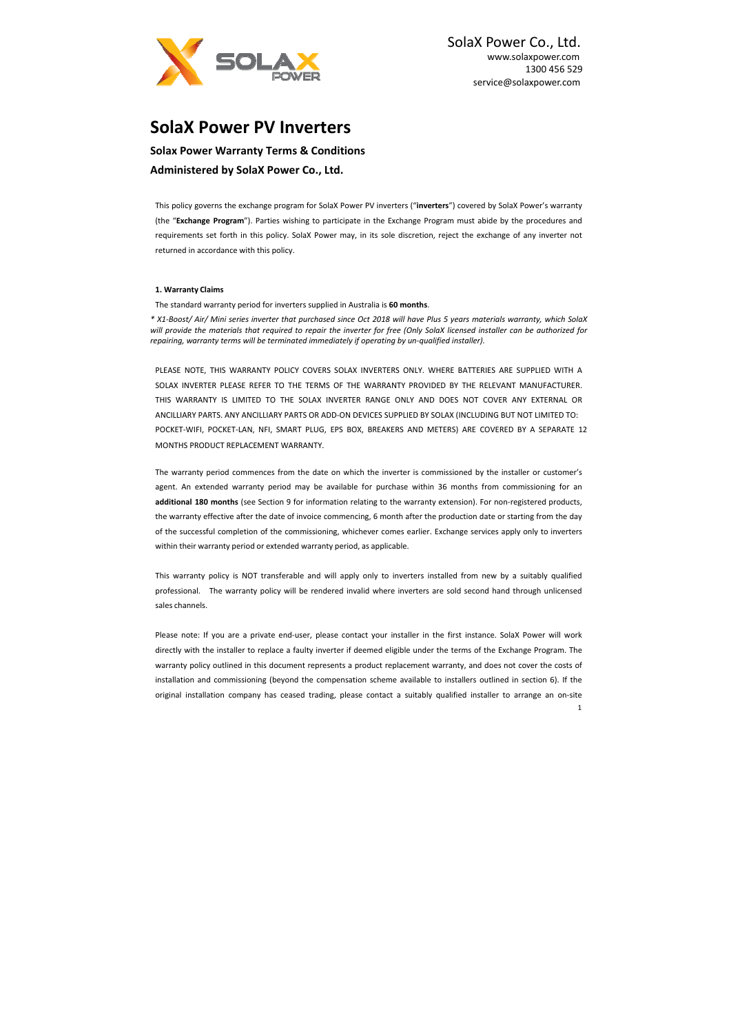

SolaX Power Co., Ltd. www.solaxpower.com 1300 456 529 service@solaxpower.com

1

**Solax Power Warranty Terms & Conditions Administered by SolaX Power Co., Ltd.** 

# **SolaX Power PV Inverters**

This policy governs the exchange program for SolaX Power PV inverters ("**inverters**") covered by SolaX Power's warranty (the "**Exchange Program**"). Parties wishing to participate in the Exchange Program must abide by the procedures and requirements set forth in this policy. SolaX Power may, in its sole discretion, reject the exchange of any inverter not returned in accordance with this policy.

## **1. Warranty Claims**

The standard warranty period for inverters supplied in Australia is **60 months**.

PLEASE NOTE, THIS WARRANTY POLICY COVERS SOLAX INVERTERS ONLY. WHERE BATTERIES ARE SUPPLIED WITH A SOLAX INVERTER PLEASE REFER TO THE TERMS OF THE WARRANTY PROVIDED BY THE RELEVANT MANUFACTURER. THIS WARRANTY IS LIMITED TO THE SOLAX INVERTER RANGE ONLY AND DOES NOT COVER ANY EXTERNAL OR ANCILLIARY PARTS. ANY ANCILLIARY PARTS OR ADD‐ON DEVICES SUPPLIED BY SOLAX (INCLUDING BUT NOT LIMITED TO: POCKET-WIFI, POCKET-LAN, NFI, SMART PLUG, EPS BOX, BREAKERS AND METERS) ARE COVERED BY A SEPARATE 12 MONTHS PRODUCT REPLACEMENT WARRANTY.

*\* X1‐Boost/ Air/ Mini series inverter that purchased since Oct 2018 will have Plus 5 years materials warranty, which SolaX will provide the materials that required to repair the inverter for free (Only SolaX licensed installer can be authorized for repairing, warranty terms will be terminated immediately if operating by un‐qualified installer).* 

This warranty policy is NOT transferable and will apply only to inverters installed from new by a suitably qualified professional. The warranty policy will be rendered invalid where inverters are sold second hand through unlicensed sales channels.

Please note: If you are a private end-user, please contact your installer in the first instance. SolaX Power will work directly with the installer to replace a faulty inverter if deemed eligible under the terms of the Exchange Program. The warranty policy outlined in this document represents a product replacement warranty, and does not cover the costs of installation and commissioning (beyond the compensation scheme available to installers outlined in section 6). If the original installation company has ceased trading, please contact a suitably qualified installer to arrange an on‐site

The warranty period commences from the date on which the inverter is commissioned by the installer or customer's agent. An extended warranty period may be available for purchase within 36 months from commissioning for an **additional 180 months** (see Section 9 for information relating to the warranty extension). For non‐registered products, the warranty effective after the date of invoice commencing, 6 month after the production date or starting from the day of the successful completion of the commissioning, whichever comes earlier. Exchange services apply only to inverters within their warranty period or extended warranty period, as applicable.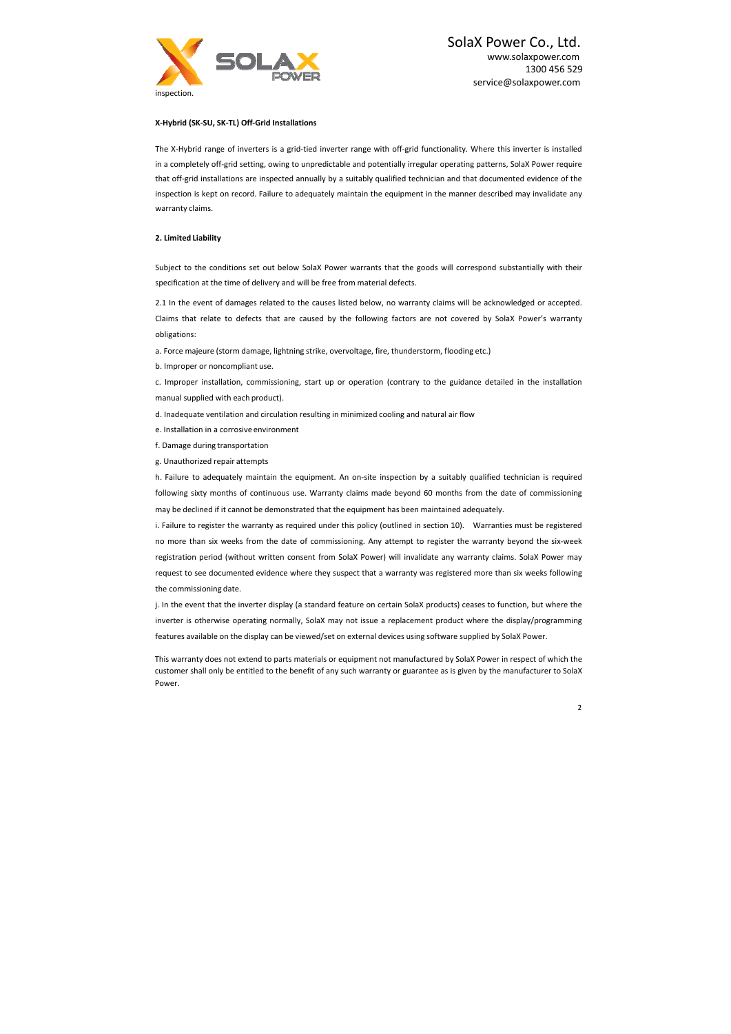SolaX Power Co., Ltd. www.solaxpower.com 1300 456 529 service@solaxpower.com



## **X‐Hybrid (SK‐SU, SK‐TL) Off‐Grid Installations**

The X‐Hybrid range of inverters is a grid‐tied inverter range with off‐grid functionality. Where this inverter is installed in a completely off-grid setting, owing to unpredictable and potentially irregular operating patterns, SolaX Power require that off‐grid installations are inspected annually by a suitably qualified technician and that documented evidence of the inspection is kept on record. Failure to adequately maintain the equipment in the manner described may invalidate any warranty claims.

### **2. Limited Liability**

Subject to the conditions set out below SolaX Power warrants that the goods will correspond substantially with their specification at the time of delivery and will be free from material defects.

h. Failure to adequately maintain the equipment. An on-site inspection by a suitably qualified technician is required following sixty months of continuous use. Warranty claims made beyond 60 months from the date of commissioning may be declined if it cannot be demonstrated that the equipment has been maintained adequately.

2.1 In the event of damages related to the causes listed below, no warranty claims will be acknowledged or accepted. Claims that relate to defects that are caused by the following factors are not covered by SolaX Power's warranty obligations:

a. Force majeure (storm damage, lightning strike, overvoltage, fire, thunderstorm, flooding etc.)

b. Improper or noncompliant use.

c. Improper installation, commissioning, start up or operation (contrary to the guidance detailed in the installation manual supplied with each product).

d. Inadequate ventilation and circulation resulting in minimized cooling and natural air flow

e. Installation in a corrosive environment

f. Damage during transportation

g. Unauthorized repair attempts

i. Failure to register the warranty as required under this policy (outlined in section 10). Warranties must be registered no more than six weeks from the date of commissioning. Any attempt to register the warranty beyond the six-week registration period (without written consent from SolaX Power) will invalidate any warranty claims. SolaX Power may request to see documented evidence where they suspect that a warranty was registered more than six weeks following the commissioning date.

j. In the event that the inverter display (a standard feature on certain SolaX products) ceases to function, but where the inverter is otherwise operating normally, SolaX may not issue a replacement product where the display/programming features available on the display can be viewed/set on external devices using software supplied by SolaX Power.

This warranty does not extend to parts materials or equipment not manufactured by SolaX Power in respect of which the customer shall only be entitled to the benefit of any such warranty or guarantee as is given by the manufacturer to SolaX Power.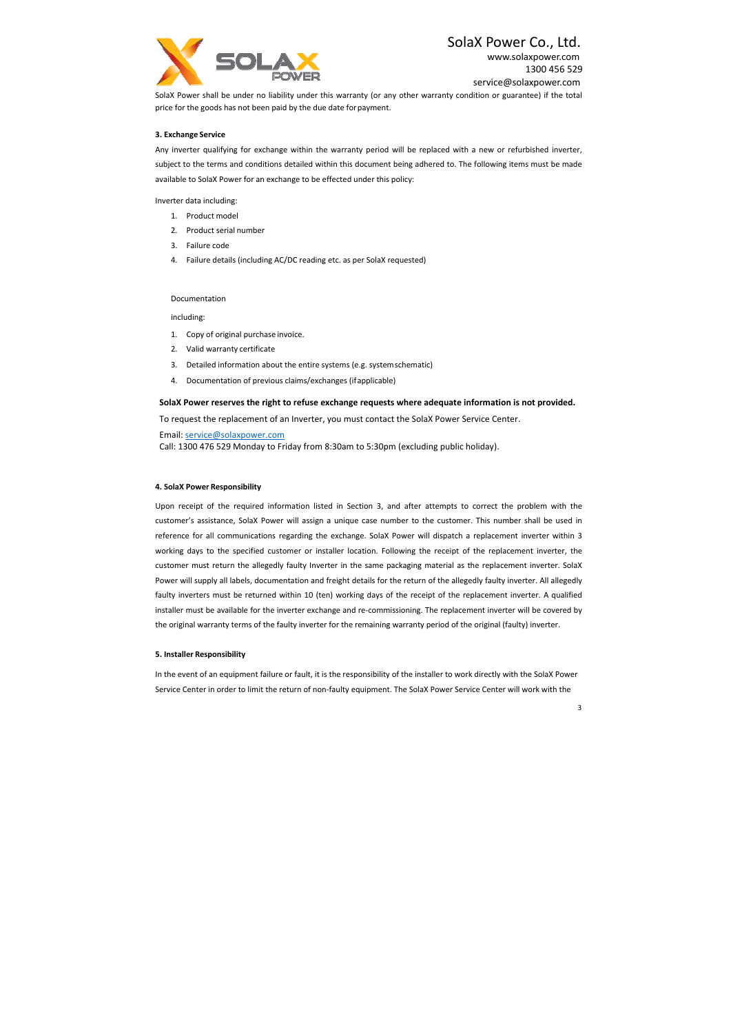

# SolaX Power Co., Ltd.

www.solaxpower.com 1300 456 529 service@solaxpower.com

SolaX Power shall be under no liability under this warranty (or any other warranty condition or guarantee) if the total price for the goods has not been paid by the due date for payment.

## **3. Exchange Service**

Any inverter qualifying for exchange within the warranty period will be replaced with a new or refurbished inverter, subject to the terms and conditions detailed within this document being adhered to. The following items must be made available to SolaX Power for an exchange to be effected under this policy:

Inverter data including:

- 1. Product model
- 2. Product serial number
- 3. Failure code
- 4. Failure details (including AC/DC reading etc. as per SolaX requested)

#### Documentation

including:

- 1. Copy of original purchase invoice.
- 2. Valid warranty certificate
- 3. Detailed information about the entire systems (e.g. system schematic)
- 4. Documentation of previous claims/exchanges (if applicable)

### **SolaX Power reserves the right to refuse exchange requests where adequate information is not provided.**

To request the replacement of an Inverter, you must contact the SolaX Power Service Center.

Upon receipt of the required information listed in Section 3, and after attempts to correct the problem with the customer's assistance, SolaX Power will assign a unique case number to the customer. This number shall be used in reference for all communications regarding the exchange. SolaX Power will dispatch a replacement inverter within 3 working days to the specified customer or installer location. Following the receipt of the replacement inverter, the customer must return the allegedly faulty Inverter in the same packaging material as the replacement inverter. SolaX Power will supply all labels, documentation and freight details for the return of the allegedly faulty inverter. All allegedly faulty inverters must be returned within 10 (ten) working days of the receipt of the replacement inverter. A qualified installer must be available for the inverter exchange and re‐commissioning. The replacement inverter will be covered by the original warranty terms of the faulty inverter for the remaining warranty period of the original (faulty) inverter.

Email: service@solaxpower.com Call: 1300 476 529 Monday to Friday from 8:30am to 5:30pm (excluding public holiday).

## **4. SolaX Power Responsibility**

### **5. Installer Responsibility**

In the event of an equipment failure or fault, it is the responsibility of the installer to work directly with the SolaX Power Service Center in order to limit the return of non‐faulty equipment. The SolaX Power Service Center will work with the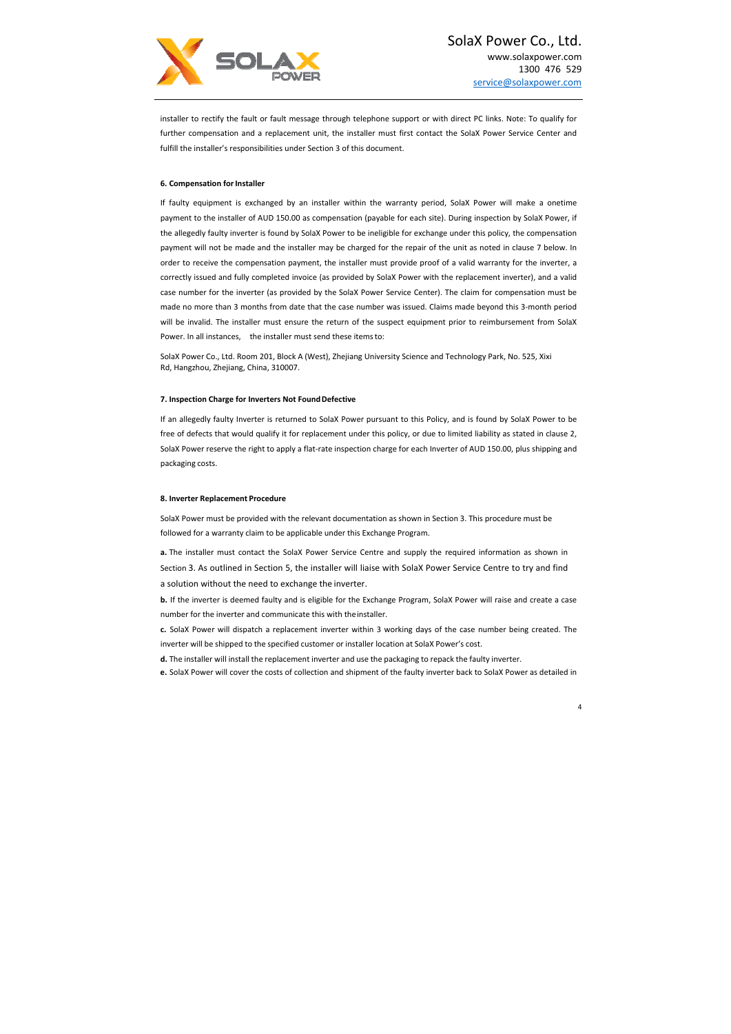

If faulty equipment is exchanged by an installer within the warranty period, SolaX Power will make a onetime payment to the installer of AUD 150.00 as compensation (payable for each site). During inspection by SolaX Power, if the allegedly faulty inverter is found by SolaX Power to be ineligible for exchange under this policy, the compensation payment will not be made and the installer may be charged for the repair of the unit as noted in clause 7 below. In order to receive the compensation payment, the installer must provide proof of a valid warranty for the inverter, a correctly issued and fully completed invoice (as provided by SolaX Power with the replacement inverter), and a valid case number for the inverter (as provided by the SolaX Power Service Center). The claim for compensation must be made no more than 3 months from date that the case number was issued. Claims made beyond this 3‐month period will be invalid. The installer must ensure the return of the suspect equipment prior to reimbursement from SolaX Power. In all instances, the installer must send these items to:

installer to rectify the fault or fault message through telephone support or with direct PC links. Note: To qualify for further compensation and a replacement unit, the installer must first contact the SolaX Power Service Center and fulfill the installer's responsibilities under Section 3 of this document.

### **6. Compensation for Installer**

**a.** The installer must contact the SolaX Power Service Centre and supply the required information as shown in Section 3. As outlined in Section 5, the installer will liaise with SolaX Power Service Centre to try and find a solution without the need to exchange the inverter.

SolaX Power Co., Ltd. Room 201, Block A (West), Zhejiang University Science and Technology Park, No. 525, Xixi Rd, Hangzhou, Zhejiang, China, 310007.

## **7. Inspection Charge for Inverters Not Found Defective**

If an allegedly faulty Inverter is returned to SolaX Power pursuant to this Policy, and is found by SolaX Power to be free of defects that would qualify it for replacement under this policy, or due to limited liability as stated in clause 2, SolaX Power reserve the right to apply a flat‐rate inspection charge for each Inverter of AUD 150.00, plus shipping and packaging costs.

#### **8. Inverter Replacement Procedure**

SolaX Power must be provided with the relevant documentation as shown in Section 3. This procedure must be followed for a warranty claim to be applicable under this Exchange Program.

**b.** If the inverter is deemed faulty and is eligible for the Exchange Program, SolaX Power will raise and create a case number for the inverter and communicate this with the installer.

- **c.** SolaX Power will dispatch a replacement inverter within 3 working days of the case number being created. The inverter will be shipped to the specified customer or installer location at SolaX Power's cost.
- **d.** The installer will install the replacement inverter and use the packaging to repack the faulty inverter.
- **e.** SolaX Power will cover the costs of collection and shipment of the faulty inverter back to SolaX Power as detailed in